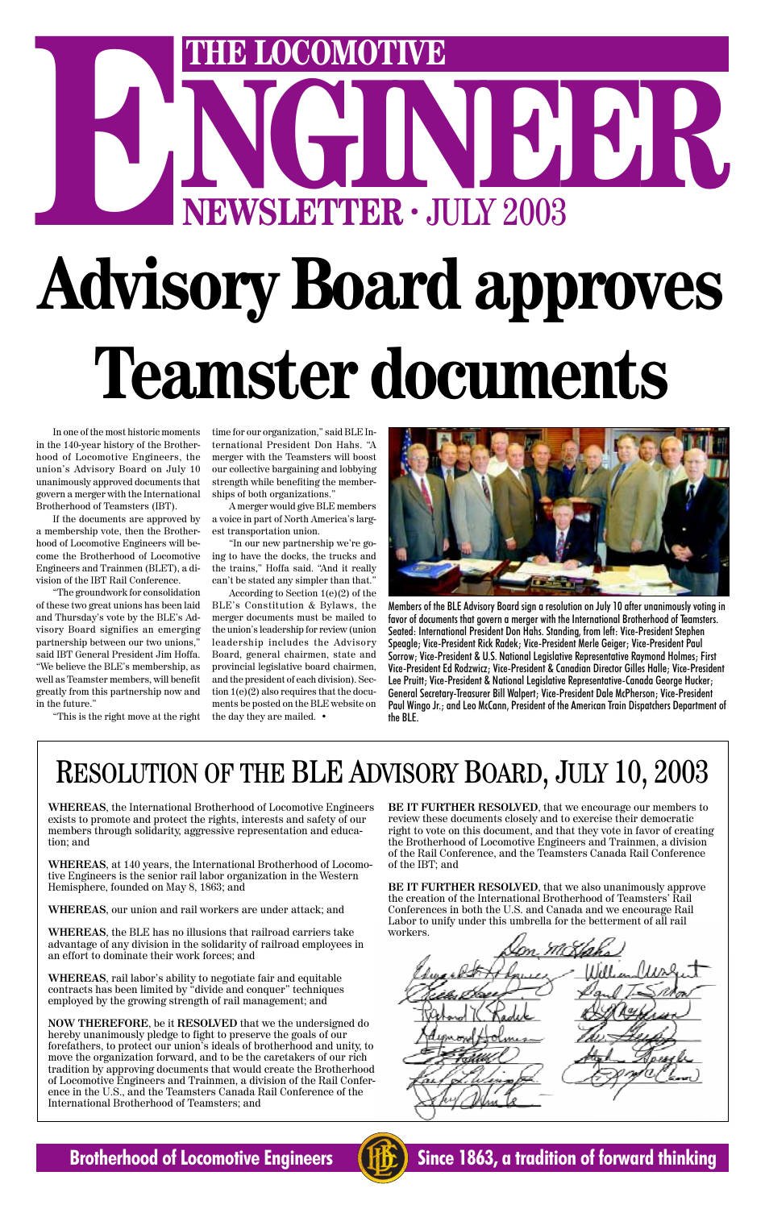# NGINEER . **ENEWSLETTER · JULY 2003 Advisory Board approves Teamster documents**

In one of the most historic moments in the 140-year history of the Brotherhood of Locomotive Engineers, the union's Advisory Board on July 10 unanimously approved documents that govern a merger with the International Brotherhood of Teamsters (IBT).

If the documents are approved by a membership vote, then the Brotherhood of Locomotive Engineers will become the Brotherhood of Locomotive Engineers and Trainmen (BLET), a division of the IBT Rail Conference.

"The groundwork for consolidation of these two great unions has been laid and Thursday's vote by the BLE's Advisory Board signifies an emerging partnership between our two unions," said IBT General President Jim Hoffa. "We believe the BLE's membership, as well as Teamster members, will benefit greatly from this partnership now and in the future."

"This is the right move at the right

time for our organization," said BLE International President Don Hahs. "A merger with the Teamsters will boost our collective bargaining and lobbying strength while benefiting the memberships of both organizations."

A merger would give BLE members a voice in part of North America's largest transportation union.

"In our new partnership we're going to have the docks, the trucks and the trains," Hoffa said. "And it really can't be stated any simpler than that."

According to Section 1(e)(2) of the BLE's Constitution & Bylaws, the merger documents must be mailed to the union's leadership for review (union leadership includes the Advisory Board, general chairmen, state and provincial legislative board chairmen, and the president of each division). Section 1(e)(2) also requires that the documents be posted on the BLE website on the day they are mailed. •



Members of the BLE Advisory Board sign a resolution on July 10 after unanimously voting in favor of documents that govern a merger with the International Brotherhood of Teamsters. Seated: International President Don Hahs. Standing, from left: Vice-President Stephen Speagle; Vice-President Rick Radek; Vice-President Merle Geiger; Vice-President Paul Sorrow; Vice-President & U.S. National Legislative Representative Raymond Holmes; First Vice-President Ed Rodzwicz; Vice-President & Canadian Director Gilles Halle; Vice-President Lee Pruitt; Vice-President & National Legislative Representative-Canada George Hucker; General Secretary-Treasurer Bill Walpert; Vice-President Dale McPherson; Vice-President Paul Wingo Jr.; and Leo McCann, President of the American Train Dispatchers Department of the BLE.

**WHEREAS**, the International Brotherhood of Locomotive Engineers exists to promote and protect the rights, interests and safety of our members through solidarity, aggressive representation and education; and

**WHEREAS**, at 140 years, the International Brotherhood of Locomotive Engineers is the senior rail labor organization in the Western Hemisphere, founded on May 8, 1863; and

**WHEREAS**, our union and rail workers are under attack; and

**WHEREAS**, the BLE has no illusions that railroad carriers take advantage of any division in the solidarity of railroad employees in an effort to dominate their work forces; and

**WHEREAS**, rail labor's ability to negotiate fair and equitable contracts has been limited by "divide and conquer" techniques employed by the growing strength of rail management; and

**NOW THEREFORE**, be it **RESOLVED** that we the undersigned do hereby unanimously pledge to fight to preserve the goals of our forefathers, to protect our union's ideals of brotherhood and unity, to move the organization forward, and to be the caretakers of our rich tradition by approving documents that would create the Brotherhood of Locomotive Engineers and Trainmen, a division of the Rail Conference in the U.S., and the Teamsters Canada Rail Conference of the International Brotherhood of Teamsters; and

#### **Brotherhood of Locomotive Engineers (HE)** Since 1863, a tradition of forward thinking



**BE IT FURTHER RESOLVED**, that we encourage our members to review these documents closely and to exercise their democratic right to vote on this document, and that they vote in favor of creating the Brotherhood of Locomotive Engineers and Trainmen, a division of the Rail Conference, and the Teamsters Canada Rail Conference of the IBT; and

**BE IT FURTHER RESOLVED**, that we also unanimously approve the creation of the International Brotherhood of Teamsters' Rail Conferences in both the U.S. and Canada and we encourage Rail Labor to unify under this umbrella for the betterment of all rail workers.

### RESOLUTION OF THE BLE ADVISORY BOARD, JULY 10, 2003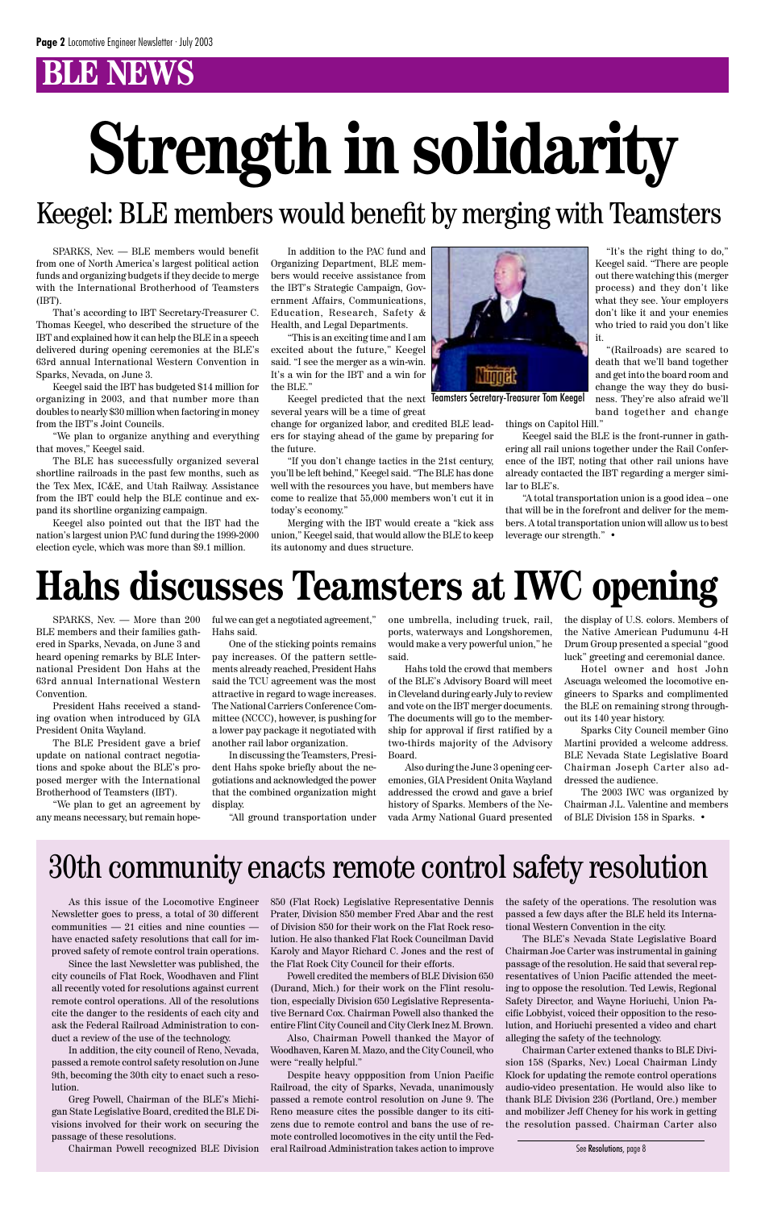### **BLNDWS**

# **Hahs discusses Teamsters at IWC opening**

SPARKS, Nev. — More than 200 BLE members and their families gathered in Sparks, Nevada, on June 3 and heard opening remarks by BLE International President Don Hahs at the 63rd annual International Western Convention.

President Hahs received a standing ovation when introduced by GIA President Onita Wayland.

The BLE President gave a brief update on national contract negotiations and spoke about the BLE's proposed merger with the International Brotherhood of Teamsters (IBT).

"We plan to get an agreement by any means necessary, but remain hopeful we can get a negotiated agreement," Hahs said.

One of the sticking points remains pay increases. Of the pattern settlements already reached, President Hahs said the TCU agreement was the most attractive in regard to wage increases. The National Carriers Conference Committee (NCCC), however, is pushing for a lower pay package it negotiated with another rail labor organization.

In discussing the Teamsters, President Hahs spoke briefly about the negotiations and acknowledged the power that the combined organization might display.

"All ground transportation under

one umbrella, including truck, rail, ports, waterways and Longshoremen, would make a very powerful union," he said.

Hahs told the crowd that members of the BLE's Advisory Board will meet in Cleveland during early July to review and vote on the IBT merger documents. The documents will go to the membership for approval if first ratified by a two-thirds majority of the Advisory Board.

Also during the June 3 opening ceremonies, GIA President Onita Wayland addressed the crowd and gave a brief history of Sparks. Members of the Nevada Army National Guard presented the display of U.S. colors. Members of the Native American Pudumunu 4-H Drum Group presented a special "good luck" greeting and ceremonial dance.

Hotel owner and host John Ascuaga welcomed the locomotive engineers to Sparks and complimented the BLE on remaining strong throughout its 140 year history.

Sparks City Council member Gino Martini provided a welcome address. BLE Nevada State Legislative Board Chairman Joseph Carter also addressed the audience.

The 2003 IWC was organized by Chairman J.L. Valentine and members of BLE Division 158 in Sparks. •

# **Strength in solidarity**

Keegel: BLE members would benefit by merging with Teamsters

SPARKS, Nev. — BLE members would benefit from one of North America's largest political action funds and organizing budgets if they decide to merge with the International Brotherhood of Teamsters (IBT).

That's according to IBT Secretary-Treasurer C. Thomas Keegel, who described the structure of the IBT and explained how it can help the BLE in a speech delivered during opening ceremonies at the BLE's 63rd annual International Western Convention in Sparks, Nevada, on June 3.

Keegel said the IBT has budgeted \$14 million for organizing in 2003, and that number more than doubles to nearly \$30 million when factoring in money from the IBT's Joint Councils.

"We plan to organize anything and everything that moves," Keegel said.

The BLE has successfully organized several shortline railroads in the past few months, such as the Tex Mex, IC&E, and Utah Railway. Assistance from the IBT could help the BLE continue and expand its shortline organizing campaign.

Keegel also pointed out that the IBT had the nation's largest union PAC fund during the 1999-2000 election cycle, which was more than \$9.1 million.

In addition to the PAC fund and Organizing Department, BLE members would receive assistance from the IBT's Strategic Campaign, Government Affairs, Communications, Education, Research, Safety & Health, and Legal Departments.

"This is an exciting time and I am excited about the future," Keegel said. "I see the merger as a win-win. It's a win for the IBT and a win for the BLE."

Keegel predicted that the next Teamsters Secretary-Treasurer Tom Keegel several years will be a time of great

change for organized labor, and credited BLE leaders for staying ahead of the game by preparing for the future.

"If you don't change tactics in the 21st century, you'll be left behind," Keegel said. "The BLE has done well with the resources you have, but members have come to realize that 55,000 members won't cut it in today's economy."

Merging with the IBT would create a "kick ass union," Keegel said, that would allow the BLE to keep its autonomy and dues structure.



"It's the right thing to do," Keegel said. "There are people out there watching this (merger process) and they don't like

#### what they see. Your employers don't like it and your enemies who tried to raid you don't like it. "(Railroads) are scared to

death that we'll band together and get into the board room and change the way they do business. They're also afraid we'll band together and change

things on Capitol Hill."

Keegel said the BLE is the front-runner in gathering all rail unions together under the Rail Conference of the IBT, noting that other rail unions have already contacted the IBT regarding a merger similar to BLE's.

"A total transportation union is a good idea – one

that will be in the forefront and deliver for the members. A total transportation union will allow us to best leverage our strength." •

### 30th community enacts remote control safety resolution

As this issue of the Locomotive Engineer Newsletter goes to press, a total of 30 different  $commu$ nities  $-21$  cities and nine counties have enacted safety resolutions that call for improved safety of remote control train operations.

Since the last Newsletter was published, the city councils of Flat Rock, Woodhaven and Flint all recently voted for resolutions against current remote control operations. All of the resolutions cite the danger to the residents of each city and ask the Federal Railroad Administration to conduct a review of the use of the technology.

In addition, the city council of Reno, Nevada, passed a remote control safety resolution on June 9th, becoming the 30th city to enact such a resolution.

Greg Powell, Chairman of the BLE's Michigan State Legislative Board, credited the BLE Divisions involved for their work on securing the passage of these resolutions.

Chairman Powell recognized BLE Division

850 (Flat Rock) Legislative Representative Dennis Prater, Division 850 member Fred Abar and the rest of Division 850 for their work on the Flat Rock resolution. He also thanked Flat Rock Councilman David Karoly and Mayor Richard C. Jones and the rest of the Flat Rock City Council for their efforts.

Powell credited the members of BLE Division 650 (Durand, Mich.) for their work on the Flint resolution, especially Division 650 Legislative Representative Bernard Cox. Chairman Powell also thanked the entire Flint City Council and City Clerk Inez M. Brown.

Also, Chairman Powell thanked the Mayor of Woodhaven, Karen M. Mazo, and the City Council, who were "really helpful."

Despite heavy oppposition from Union Pacific Railroad, the city of Sparks, Nevada, unanimously passed a remote control resolution on June 9. The Reno measure cites the possible danger to its citizens due to remote control and bans the use of remote controlled locomotives in the city until the Federal Railroad Administration takes action to improve the safety of the operations. The resolution was passed a few days after the BLE held its International Western Convention in the city.

The BLE's Nevada State Legislative Board Chairman Joe Carter was instrumental in gaining passage of the resolution. He said that several representatives of Union Pacific attended the meeting to oppose the resolution. Ted Lewis, Regional Safety Director, and Wayne Horiuchi, Union Pacific Lobbyist, voiced their opposition to the resolution, and Horiuchi presented a video and chart alleging the safety of the technology.

Chairman Carter extened thanks to BLE Division 158 (Sparks, Nev.) Local Chairman Lindy Klock for updating the remote control operations audio-video presentation. He would also like to thank BLE Division 236 (Portland, Ore.) member and mobilizer Jeff Cheney for his work in getting the resolution passed. Chairman Carter also

See Resolutions, page 8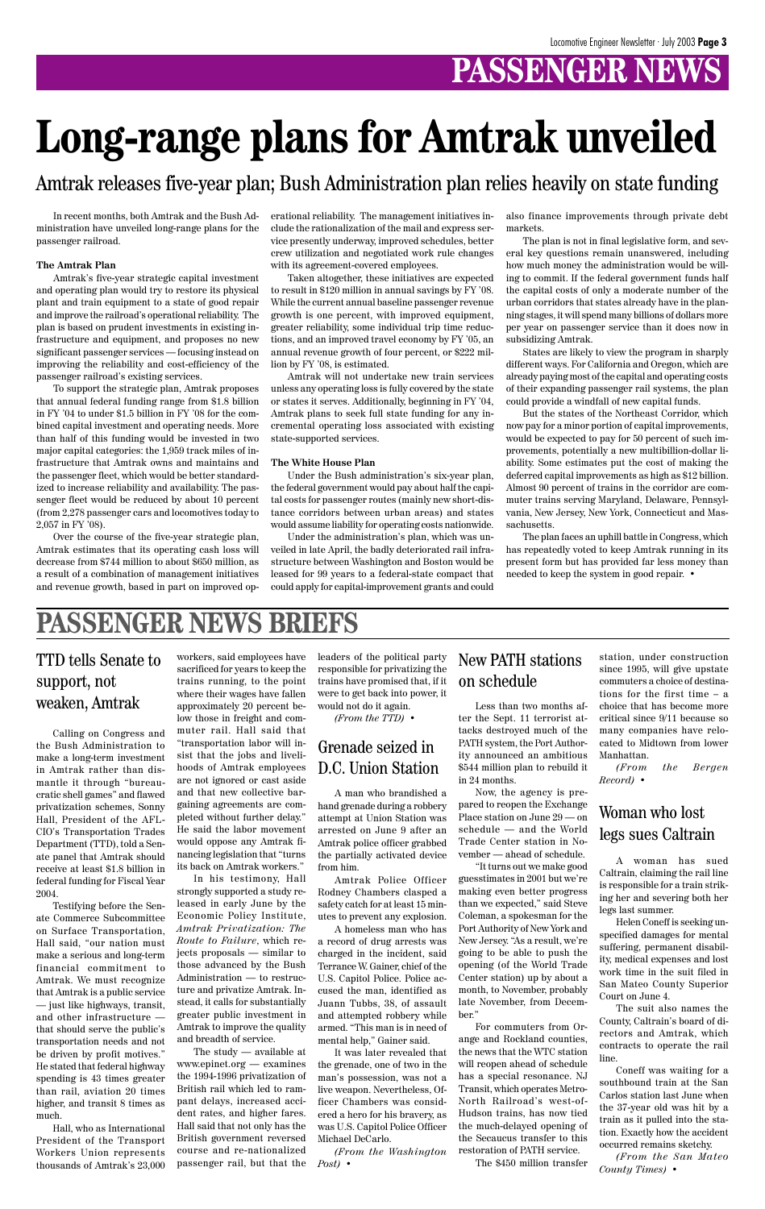### **PASSENGER NEWS**

In recent months, both Amtrak and the Bush Administration have unveiled long-range plans for the passenger railroad.

#### **The Amtrak Plan**

Amtrak's five-year strategic capital investment and operating plan would try to restore its physical plant and train equipment to a state of good repair and improve the railroad's operational reliability. The plan is based on prudent investments in existing infrastructure and equipment, and proposes no new significant passenger services — focusing instead on improving the reliability and cost-efficiency of the passenger railroad's existing services.

To support the strategic plan, Amtrak proposes that annual federal funding range from \$1.8 billion in FY '04 to under \$1.5 billion in FY '08 for the combined capital investment and operating needs. More than half of this funding would be invested in two major capital categories: the 1,959 track miles of infrastructure that Amtrak owns and maintains and the passenger fleet, which would be better standardized to increase reliability and availability. The passenger fleet would be reduced by about 10 percent (from 2,278 passenger cars and locomotives today to 2,057 in FY '08).

Over the course of the five-year strategic plan, Amtrak estimates that its operating cash loss will decrease from \$744 million to about \$650 million, as a result of a combination of management initiatives and revenue growth, based in part on improved operational reliability. The management initiatives include the rationalization of the mail and express service presently underway, improved schedules, better crew utilization and negotiated work rule changes with its agreement-covered employees.

Taken altogether, these initiatives are expected to result in \$120 million in annual savings by FY '08. While the current annual baseline passenger revenue growth is one percent, with improved equipment, greater reliability, some individual trip time reductions, and an improved travel economy by FY '05, an annual revenue growth of four percent, or \$222 million by FY '08, is estimated.

Amtrak will not undertake new train services unless any operating loss is fully covered by the state or states it serves. Additionally, beginning in FY '04, Amtrak plans to seek full state funding for any incremental operating loss associated with existing state-supported services.

#### **The White House Plan**

Under the Bush administration's six-year plan, the federal government would pay about half the capital costs for passenger routes (mainly new short-distance corridors between urban areas) and states would assume liability for operating costs nationwide.

Under the administration's plan, which was unveiled in late April, the badly deteriorated rail infrastructure between Washington and Boston would be leased for 99 years to a federal-state compact that could apply for capital-improvement grants and could

also finance improvements through private debt markets.

The plan is not in final legislative form, and several key questions remain unanswered, including how much money the administration would be willing to commit. If the federal government funds half the capital costs of only a moderate number of the urban corridors that states already have in the planning stages, it will spend many billions of dollars more per year on passenger service than it does now in subsidizing Amtrak.

States are likely to view the program in sharply different ways. For California and Oregon, which are already paying most of the capital and operating costs of their expanding passenger rail systems, the plan could provide a windfall of new capital funds.

But the states of the Northeast Corridor, which now pay for a minor portion of capital improvements, would be expected to pay for 50 percent of such improvements, potentially a new multibillion-dollar liability. Some estimates put the cost of making the deferred capital improvements as high as \$12 billion. Almost 90 percent of trains in the corridor are commuter trains serving Maryland, Delaware, Pennsylvania, New Jersey, New York, Connecticut and Massachusetts.

The plan faces an uphill battle in Congress, which has repeatedly voted to keep Amtrak running in its present form but has provided far less money than needed to keep the system in good repair. •

# **Long-range plans for Amtrak unveiled**

Amtrak releases five-year plan; Bush Administration plan relies heavily on state funding

#### **PASSENGER NEWS BRIEFS**

Calling on Congress and the Bush Administration to make a long-term investment in Amtrak rather than dismantle it through "bureaucratic shell games" and flawed privatization schemes, Sonny Hall, President of the AFL-CIO's Transportation Trades Department (TTD), told a Senate panel that Amtrak should receive at least \$1.8 billion in federal funding for Fiscal Year 2004. Testifying before the Senate Commerce Subcommittee on Surface Transportation, Hall said, "our nation must make a serious and long-term financial commitment to Amtrak. We must recognize that Amtrak is a public service — just like highways, transit, and other infrastructure that should serve the public's transportation needs and not be driven by profit motives." He stated that federal highway spending is 43 times greater than rail, aviation 20 times higher, and transit 8 times as much.

Hall, who as International President of the Transport Workers Union represents thousands of Amtrak's 23,000

#### TTD tells Senate to support, not weaken, Amtrak

workers, said employees have sacrificed for years to keep the trains running, to the point where their wages have fallen approximately 20 percent below those in freight and commuter rail. Hall said that "transportation labor will insist that the jobs and livelihoods of Amtrak employees are not ignored or cast aside and that new collective bargaining agreements are completed without further delay." He said the labor movement would oppose any Amtrak financing legislation that "turns its back on Amtrak workers." In his testimony, Hall

strongly supported a study released in early June by the Economic Policy Institute, *Amtrak Privatization: The Route to Failure*, which rejects proposals — similar to those advanced by the Bush Administration — to restructure and privatize Amtrak. Instead, it calls for substantially greater public investment in Amtrak to improve the quality and breadth of service. The study — available at www.epinet.org — examines the 1994-1996 privatization of British rail which led to rampant delays, increased accident rates, and higher fares. Hall said that not only has the British government reversed course and re-nationalized passenger rail, but that the leaders of the political party responsible for privatizing the trains have promised that, if it were to get back into power, it would not do it again.

*(From the TTD)* •

A man who brandished a hand grenade during a robbery attempt at Union Station was arrested on June 9 after an Amtrak police officer grabbed the partially activated device from him.

Amtrak Police Officer Rodney Chambers clasped a safety catch for at least 15 minutes to prevent any explosion. A homeless man who has a record of drug arrests was charged in the incident, said Terrance W. Gainer, chief of the U.S. Capitol Police. Police accused the man, identified as Juann Tubbs, 38, of assault and attempted robbery while armed. "This man is in need of mental help," Gainer said. It was later revealed that the grenade, one of two in the man's possession, was not a live weapon. Nevertheless, Officer Chambers was considered a hero for his bravery, as was U.S. Capitol Police Officer Michael DeCarlo.

*(From the Washington Post)* •

#### Grenade seized in D.C. Union Station

Less than two months after the Sept. 11 terrorist attacks destroyed much of the PATH system, the Port Authority announced an ambitious \$544 million plan to rebuild it in 24 months.

Now, the agency is prepared to reopen the Exchange Place station on June 29 — on schedule — and the World Trade Center station in November — ahead of schedule.

"It turns out we make good guesstimates in 2001 but we're making even better progress than we expected," said Steve Coleman, a spokesman for the Port Authority of New York and New Jersey. "As a result, we're going to be able to push the opening (of the World Trade Center station) up by about a month, to November, probably late November, from December." For commuters from Orange and Rockland counties, the news that the WTC station will reopen ahead of schedule has a special resonance. NJ Transit, which operates Metro-North Railroad's west-of-Hudson trains, has now tied the much-delayed opening of the Secaucus transfer to this restoration of PATH service. The \$450 million transfer

#### New PATH stations on schedule

station, under construction since 1995, will give upstate commuters a choice of destinations for the first time – a choice that has become more critical since 9/11 because so many companies have relocated to Midtown from lower Manhattan.

*(From the Bergen Record)* •

A woman has sued Caltrain, claiming the rail line is responsible for a train striking her and severing both her legs last summer. Helen Coneff is seeking unspecified damages for mental suffering, permanent disability, medical expenses and lost work time in the suit filed in San Mateo County Superior Court on June 4. The suit also names the County, Caltrain's board of directors and Amtrak, which contracts to operate the rail line. Coneff was waiting for a southbound train at the San Carlos station last June when the 37-year old was hit by a train as it pulled into the station. Exactly how the accident occurred remains sketchy.

*(From the San Mateo County Times)* •

#### Woman who lost legs sues Caltrain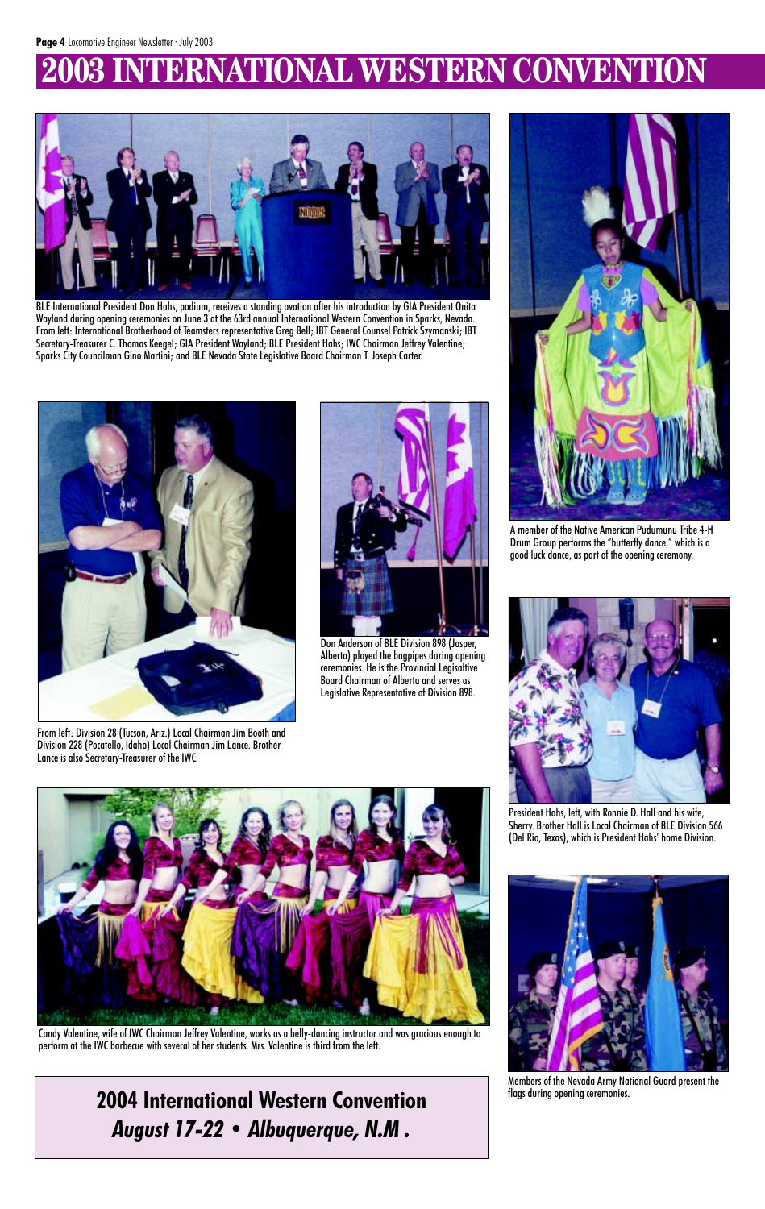## **2003 INTERNATIONAL WESTERN CONVENTION**



BLE International President Don Hahs, podium, receives a standing ovation after his introduction by GIA President Onita Wayland during opening ceremonies on June 3 at the 63rd annual International Western Convention in Sparks, Nevada. From left: International Brotherhood of Teamsters representative Greg Bell; IBT General Counsel Patrick Szymanski; IBT Secretary-Treasurer C. Thomas Keegel; GIA President Wayland; BLE President Hahs; IWC Chairman Jeffrey Valentine; Sparks City Councilman Gino Martini; and BLE Nevada State Legislative Board Chairman T. Joseph Carter.



President Hahs, left, with Ronnie D. Hall and his wife, Sherry. Brother Hall is Local Chairman of BLE Division 566 (Del Rio, Texas), which is President Hahs' home Division.





A member of the Native American Pudumunu Tribe 4-H Drum Group performs the "butterfly dance," which is a good luck dance, as part of the opening ceremony.

Members of the Nevada Army National Guard present the flags during opening ceremonies.



Don Anderson of BLE Division 898 (Jasper, Alberta) played the bagpipes during opening ceremonies. He is the Provincial Legisaltive Board Chairman of Alberta and serves as Legislative Representative of Division 898.





From left: Division 28 (Tucson, Ariz.) Local Chairman Jim Booth and Division 228 (Pocatello, Idaho) Local Chairman Jim Lance. Brother Lance is also Secretary-Treasurer of the IWC.

Candy Valentine, wife of IWC Chairman Jeffrey Valentine, works as a belly-dancing instructor and was gracious enough to perform at the IWC barbecue with several of her students. Mrs. Valentine is third from the left.

> **2004 International Western Convention** *August 17-22 • Albuquerque, N.M .*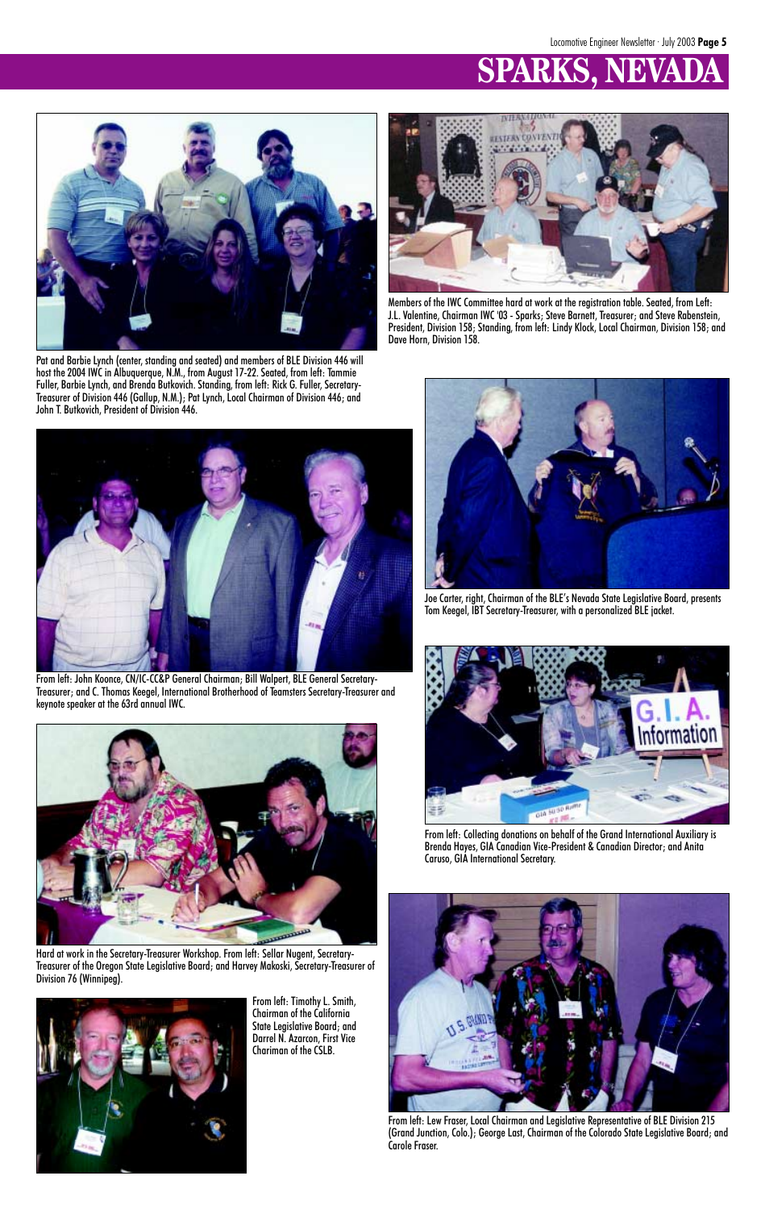# **SPARKS.**



Members of the IWC Committee hard at work at the registration table. Seated, from Left: J.L. Valentine, Chairman IWC '03 - Sparks; Steve Barnett, Treasurer; and Steve Rabenstein, President, Division 158; Standing, from left: Lindy Klock, Local Chairman, Division 158; and Dave Horn, Division 158.



Pat and Barbie Lynch (center, standing and seated) and members of BLE Division 446 will host the 2004 IWC in Albuquerque, N.M., from August 17-22. Seated, from left: Tammie Fuller, Barbie Lynch, and Brenda Butkovich. Standing, from left: Rick G. Fuller, Secretary-Treasurer of Division 446 (Gallup, N.M.); Pat Lynch, Local Chairman of Division 446; and John T. Butkovich, President of Division 446.



From left: John Koonce, CN/IC-CC&P General Chairman; Bill Walpert, BLE General Secretary-Treasurer; and C. Thomas Keegel, International Brotherhood of Teamsters Secretary-Treasurer and keynote speaker at the 63rd annual IWC.





Joe Carter, right, Chairman of the BLE's Nevada State Legislative Board, presents Tom Keegel, IBT Secretary-Treasurer, with a personalized BLE jacket.



From left: Collecting donations on behalf of the Grand International Auxiliary is Brenda Hayes, GIA Canadian Vice-President & Canadian Director; and Anita Caruso, GIA International Secretary.



From left: Lew Fraser, Local Chairman and Legislative Representative of BLE Division 215 (Grand Junction, Colo.); George Last, Chairman of the Colorado State Legislative Board; and Carole Fraser.

From left: Timothy L. Smith, Chairman of the California State Legislative Board; and Darrel N. Azarcon, First Vice Chariman of the CSLB.

Hard at work in the Secretary-Treasurer Workshop. From left: Sellar Nugent, Secretary-Treasurer of the Oregon State Legislative Board; and Harvey Makoski, Secretary-Treasurer of Division 76 (Winnipeg).

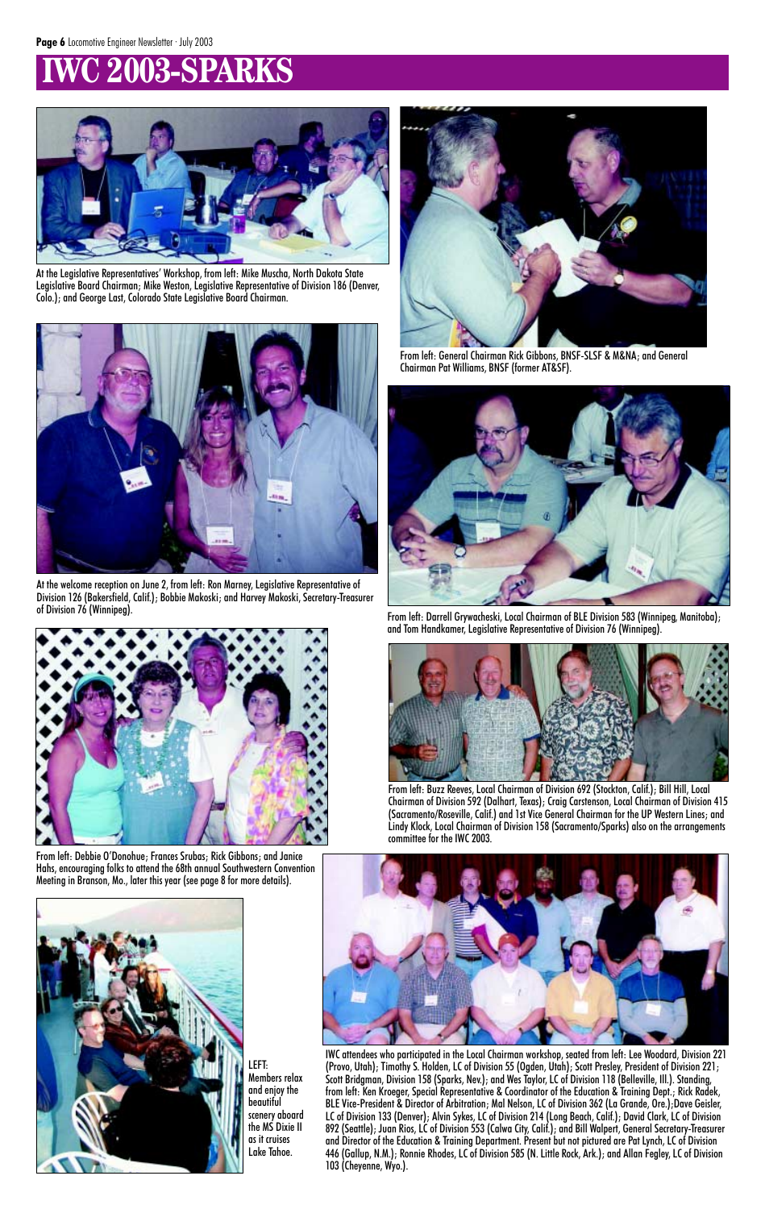# **IZO03-SPARKS**



From left: Buzz Reeves, Local Chairman of Division 692 (Stockton, Calif.); Bill Hill, Local Chairman of Division 592 (Dalhart, Texas); Craig Carstenson, Local Chairman of Division 415 (Sacramento/Roseville, Calif.) and 1st Vice General Chairman for the UP Western Lines; and Lindy Klock, Local Chairman of Division 158 (Sacramento/Sparks) also on the arrangements committee for the IWC 2003.







From left: Darrell Grywacheski, Local Chairman of BLE Division 583 (Winnipeg, Manitoba); and Tom Handkamer, Legislative Representative of Division 76 (Winnipeg).



From left: Debbie O'Donohue; Frances Srubas; Rick Gibbons; and Janice Hahs, encouraging folks to attend the 68th annual Southwestern Convention Meeting in Branson, Mo., later this year (see page 8 for more details).



From left: General Chairman Rick Gibbons, BNSF-SLSF & M&NA; and General Chairman Pat Williams, BNSF (former AT&SF).



At the Legislative Representatives' Workshop, from left: Mike Muscha, North Dakota State Legislative Board Chairman; Mike Weston, Legislative Representative of Division 186 (Denver, Colo.); and George Last, Colorado State Legislative Board Chairman.



At the welcome reception on June 2, from left: Ron Marney, Legislative Representative of Division 126 (Bakersfield, Calif.); Bobbie Makoski; and Harvey Makoski, Secretary-Treasurer of Division 76 (Winnipeg).

IWC attendees who participated in the Local Chairman workshop, seated from left: Lee Woodard, Division 221 (Provo, Utah); Timothy S. Holden, LC of Division 55 (Ogden, Utah); Scott Presley, President of Division 221; Scott Bridgman, Division 158 (Sparks, Nev.); and Wes Taylor, LC of Division 118 (Belleville, Ill.). Standing, from left: Ken Kroeger, Special Representative & Coordinator of the Education & Training Dept.; Rick Radek, BLE Vice-President & Director of Arbitration; Mal Nelson, LC of Division 362 (La Grande, Ore.);Dave Geisler, LC of Division 133 (Denver); Alvin Sykes, LC of Division 214 (Long Beach, Calif.); David Clark, LC of Division 892 (Seattle); Juan Rios, LC of Division 553 (Calwa City, Calif.); and Bill Walpert, General Secretary-Treasurer and Director of the Education & Training Department. Present but not pictured are Pat Lynch, LC of Division 446 (Gallup, N.M.); Ronnie Rhodes, LC of Division 585 (N. Little Rock, Ark.); and Allan Fegley, LC of Division 103 (Cheyenne, Wyo.).

LEFT: Members relax and enjoy the beautiful scenery aboard the MS Dixie II as it cruises Lake Tahoe.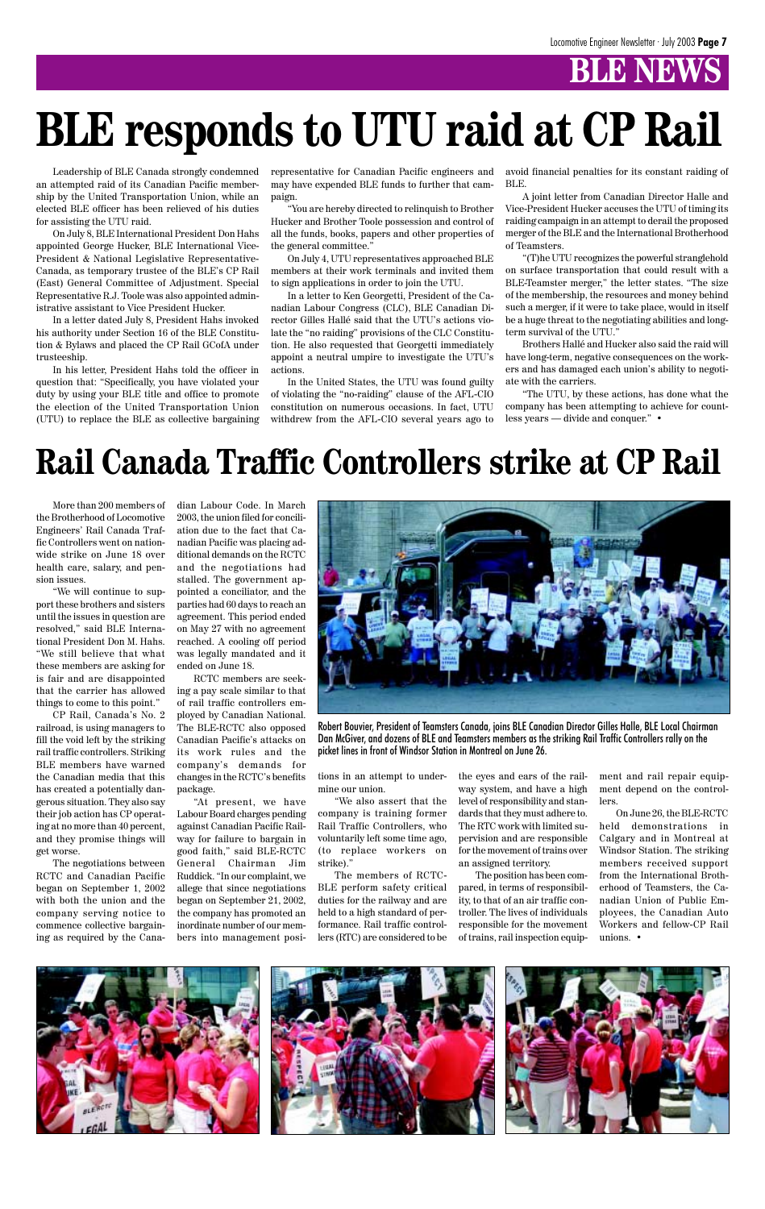### **BLE NEWS**

Leadership of BLE Canada strongly condemned an attempted raid of its Canadian Pacific membership by the United Transportation Union, while an elected BLE officer has been relieved of his duties for assisting the UTU raid.

On July 8, BLE International President Don Hahs appointed George Hucker, BLE International Vice-President & National Legislative Representative-Canada, as temporary trustee of the BLE's CP Rail (East) General Committee of Adjustment. Special Representative R.J. Toole was also appointed administrative assistant to Vice President Hucker.

In a letter dated July 8, President Hahs invoked his authority under Section 16 of the BLE Constitution & Bylaws and placed the CP Rail GCofA under trusteeship.

In his letter, President Hahs told the officer in question that: "Specifically, you have violated your duty by using your BLE title and office to promote the election of the United Transportation Union (UTU) to replace the BLE as collective bargaining

representative for Canadian Pacific engineers and may have expended BLE funds to further that campaign.

"You are hereby directed to relinquish to Brother Hucker and Brother Toole possession and control of all the funds, books, papers and other properties of the general committee."

On July 4, UTU representatives approached BLE members at their work terminals and invited them to sign applications in order to join the UTU.

In a letter to Ken Georgetti, President of the Canadian Labour Congress (CLC), BLE Canadian Director Gilles Hallé said that the UTU's actions violate the "no raiding" provisions of the CLC Constitution. He also requested that Georgetti immediately appoint a neutral umpire to investigate the UTU's actions.

In the United States, the UTU was found guilty of violating the "no-raiding" clause of the AFL-CIO constitution on numerous occasions. In fact, UTU withdrew from the AFL-CIO several years ago to avoid financial penalties for its constant raiding of BLE.

A joint letter from Canadian Director Halle and Vice-President Hucker accuses the UTU of timing its raiding campaign in an attempt to derail the proposed merger of the BLE and the International Brotherhood of Teamsters.

"(T)he UTU recognizes the powerful stranglehold on surface transportation that could result with a BLE-Teamster merger," the letter states. "The size of the membership, the resources and money behind such a merger, if it were to take place, would in itself be a huge threat to the negotiating abilities and longterm survival of the UTU."

Brothers Hallé and Hucker also said the raid will have long-term, negative consequences on the workers and has damaged each union's ability to negotiate with the carriers.

"The UTU, by these actions, has done what the company has been attempting to achieve for countless years — divide and conquer." •

# **BLE responds to UTU raid at CP Rail**

# **Rail Canada Traffic Controllers strike at CP Rail**

More than 200 members of the Brotherhood of Locomotive Engineers' Rail Canada Traffic Controllers went on nationwide strike on June 18 over health care, salary, and pension issues.

"We will continue to support these brothers and sisters until the issues in question are resolved," said BLE International President Don M. Hahs. "We still believe that what these members are asking for is fair and are disappointed that the carrier has allowed things to come to this point."

CP Rail, Canada's No. 2 railroad, is using managers to fill the void left by the striking rail traffic controllers. Striking BLE members have warned the Canadian media that this has created a potentially dangerous situation. They also say their job action has CP operating at no more than 40 percent, and they promise things will get worse.

The negotiations between RCTC and Canadian Pacific began on September 1, 2002 with both the union and the company serving notice to commence collective bargaining as required by the Canadian Labour Code. In March 2003, the union filed for conciliation due to the fact that Canadian Pacific was placing additional demands on the RCTC and the negotiations had stalled. The government appointed a conciliator, and the parties had 60 days to reach an agreement. This period ended on May 27 with no agreement reached. A cooling off period was legally mandated and it ended on June 18.

RCTC members are seeking a pay scale similar to that of rail traffic controllers employed by Canadian National. The BLE-RCTC also opposed Canadian Pacific's attacks on its work rules and the company's demands for changes in the RCTC's benefits package.

"At present, we have Labour Board charges pending against Canadian Pacific Railway for failure to bargain in good faith," said BLE-RCTC General Chairman Jim Ruddick. "In our complaint, we allege that since negotiations began on September 21, 2002, the company has promoted an inordinate number of our members into management positions in an attempt to undermine our union.

"We also assert that the company is training former Rail Traffic Controllers, who voluntarily left some time ago, (to replace workers on strike)."

The members of RCTC-BLE perform safety critical duties for the railway and are held to a high standard of performance. Rail traffic controllers (RTC) are considered to be

the eyes and ears of the railway system, and have a high level of responsibility and standards that they must adhere to. The RTC work with limited supervision and are responsible for the movement of trains over an assigned territory.

The position has been compared, in terms of responsibility, to that of an air traffic controller. The lives of individuals responsible for the movement of trains, rail inspection equip-

ment and rail repair equipment depend on the controllers.

On June 26, the BLE-RCTC held demonstrations in Calgary and in Montreal at Windsor Station. The striking members received support from the International Brotherhood of Teamsters, the Canadian Union of Public Employees, the Canadian Auto Workers and fellow-CP Rail unions. •





Robert Bouvier, President of Teamsters Canada, joins BLE Canadian Director Gilles Halle, BLE Local Chairman Dan McGiver, and dozens of BLE and Teamsters members as the striking Rail Traffic Controllers rally on the picket lines in front of Windsor Station in Montreal on June 26.